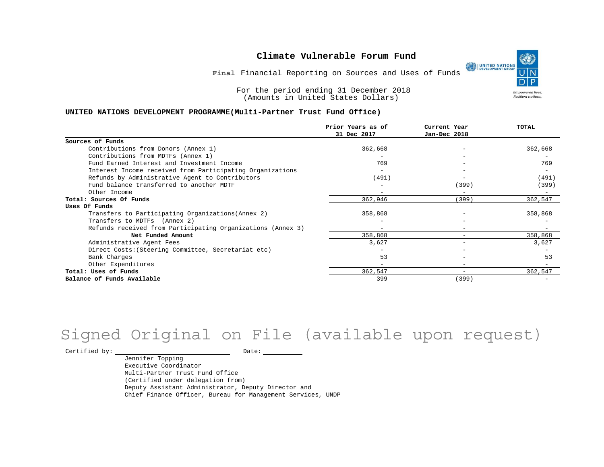## **Climate Vulnerable Forum Fund**

۹ **DEVELOPMENT GROUP Empowered lives** Resilient nations.

**Final** Financial Reporting on Sources and Uses of Funds

For the period ending 31 December 2018 (Amounts in United States Dollars)

#### **UNITED NATIONS DEVELOPMENT PROGRAMME(Multi-Partner Trust Fund Office)**

|                                                             | Prior Years as of<br>31 Dec 2017 | Current Year<br>Jan-Dec 2018 | TOTAL   |
|-------------------------------------------------------------|----------------------------------|------------------------------|---------|
| Sources of Funds                                            |                                  |                              |         |
| Contributions from Donors (Annex 1)                         | 362,668                          |                              | 362,668 |
| Contributions from MDTFs (Annex 1)                          |                                  |                              |         |
| Fund Earned Interest and Investment Income                  | 769                              |                              | 769     |
| Interest Income received from Participating Organizations   |                                  |                              |         |
| Refunds by Administrative Agent to Contributors             | (491)                            |                              | (491)   |
| Fund balance transferred to another MDTF                    |                                  | (399)                        | (399)   |
| Other Income                                                |                                  | $\overline{\phantom{0}}$     |         |
| Total: Sources Of Funds                                     | 362,946                          | (399)                        | 362,547 |
| Uses Of Funds                                               |                                  |                              |         |
| Transfers to Participating Organizations (Annex 2)          | 358,868                          |                              | 358,868 |
| Transfers to MDTFs (Annex 2)                                |                                  |                              |         |
| Refunds received from Participating Organizations (Annex 3) | $\overline{\phantom{a}}$         |                              |         |
| Net Funded Amount                                           | 358,868                          |                              | 358,868 |
| Administrative Agent Fees                                   | 3,627                            |                              | 3,627   |
| Direct Costs: (Steering Committee, Secretariat etc)         |                                  |                              |         |
| Bank Charges                                                | 53                               |                              | 53      |
| Other Expenditures                                          |                                  |                              |         |
| Total: Uses of Funds                                        | 362,547                          | $\overline{\phantom{0}}$     | 362,547 |
| Balance of Funds Available                                  | 399                              | (399)                        |         |

## Signed Original on File (available upon request)

 $\begin{tabular}{ccccc} \multicolumn{2}{c|}{\textbf{Certified by:}} & & \multicolumn{2}{c|}{\textbf{Date:}} & \multicolumn{2}{c|}{\textbf{Date:}} \end{tabular}$ 

Jennifer Topping Executive Coordinator Multi-Partner Trust Fund Office (Certified under delegation from) Deputy Assistant Administrator, Deputy Director and Chief Finance Officer, Bureau for Management Services, UNDP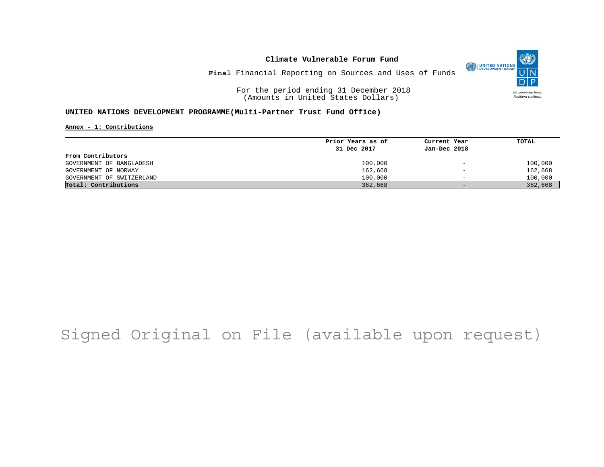## **Climate Vulnerable Forum Fund**



**Final** Financial Reporting on Sources and Uses of Funds

For the period ending 31 December 2018 (Amounts in United States Dollars)

## **UNITED NATIONS DEVELOPMENT PROGRAMME(Multi-Partner Trust Fund Office)**

**Annex - 1: Contributions**

|                           | Prior Years as of | Current Year             | TOTAL   |
|---------------------------|-------------------|--------------------------|---------|
|                           | 31 Dec 2017       | Jan-Dec 2018             |         |
| From Contributors         |                   |                          |         |
| GOVERNMENT OF BANGLADESH  | 100,000           | $\overline{\phantom{a}}$ | 100,000 |
| GOVERNMENT OF NORWAY      | 162,668           | $\overline{\phantom{m}}$ | 162,668 |
| GOVERNMENT OF SWITZERLAND | 100,000           | $\overline{\phantom{0}}$ | 100,000 |
| Total: Contributions      | 362,668           | $\overline{\phantom{0}}$ | 362,668 |

# Signed Original on File (available upon request)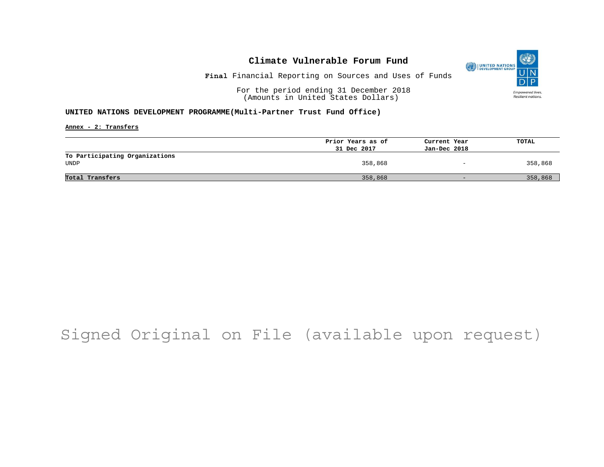## **Climate Vulnerable Forum Fund**



**Final** Financial Reporting on Sources and Uses of Funds

For the period ending 31 December 2018 (Amounts in United States Dollars)

### **UNITED NATIONS DEVELOPMENT PROGRAMME(Multi-Partner Trust Fund Office)**

**Annex - 2: Transfers**

|                                | Prior Years as of | Current Year                 | TOTAL   |
|--------------------------------|-------------------|------------------------------|---------|
|                                | 31 Dec 2017       | Jan-Dec 2018                 |         |
| To Participating Organizations |                   |                              |         |
| UNDP                           | 358,868           | $\qquad \qquad \blacksquare$ | 358,868 |
|                                |                   |                              |         |
| Total Transfers                | 358,868           | $-$                          | 358,868 |
|                                |                   |                              |         |

## Signed Original on File (available upon request)